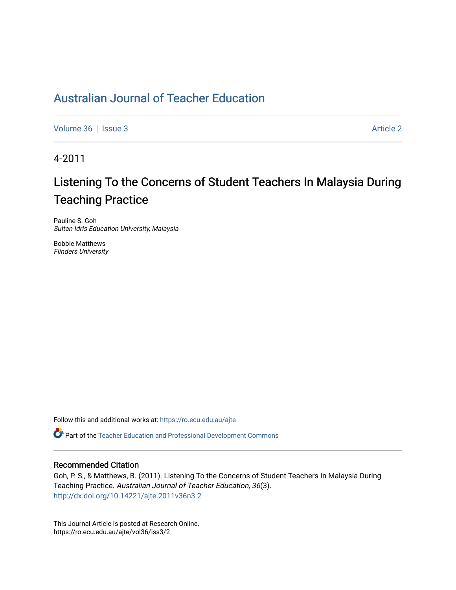## [Australian Journal of Teacher Education](https://ro.ecu.edu.au/ajte)

[Volume 36](https://ro.ecu.edu.au/ajte/vol36) | [Issue 3](https://ro.ecu.edu.au/ajte/vol36/iss3) Article 2

4-2011

# Listening To the Concerns of Student Teachers In Malaysia During Teaching Practice

Pauline S. Goh Sultan Idris Education University, Malaysia

Bobbie Matthews Flinders University

Follow this and additional works at: [https://ro.ecu.edu.au/ajte](https://ro.ecu.edu.au/ajte?utm_source=ro.ecu.edu.au%2Fajte%2Fvol36%2Fiss3%2F2&utm_medium=PDF&utm_campaign=PDFCoverPages) 

Part of the [Teacher Education and Professional Development Commons](http://network.bepress.com/hgg/discipline/803?utm_source=ro.ecu.edu.au%2Fajte%2Fvol36%2Fiss3%2F2&utm_medium=PDF&utm_campaign=PDFCoverPages)

#### Recommended Citation

Goh, P. S., & Matthews, B. (2011). Listening To the Concerns of Student Teachers In Malaysia During Teaching Practice. Australian Journal of Teacher Education, 36(3). <http://dx.doi.org/10.14221/ajte.2011v36n3.2>

This Journal Article is posted at Research Online. https://ro.ecu.edu.au/ajte/vol36/iss3/2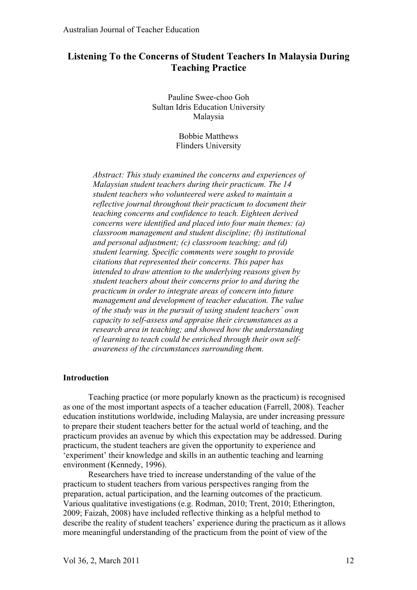### **Listening To the Concerns of Student Teachers In Malaysia During Teaching Practice**

Pauline Swee-choo Goh Sultan Idris Education University Malaysia

> Bobbie Matthews Flinders University

*Abstract: This study examined the concerns and experiences of Malaysian student teachers during their practicum. The 14 student teachers who volunteered were asked to maintain a reflective journal throughout their practicum to document their teaching concerns and confidence to teach. Eighteen derived concerns were identified and placed into four main themes: (a) classroom management and student discipline; (b) institutional and personal adjustment; (c) classroom teaching; and (d) student learning. Specific comments were sought to provide citations that represented their concerns. This paper has intended to draw attention to the underlying reasons given by student teachers about their concerns prior to and during the practicum in order to integrate areas of concern into future management and development of teacher education. The value of the study was in the pursuit of using student teachers' own capacity to self-assess and appraise their circumstances as a research area in teaching; and showed how the understanding of learning to teach could be enriched through their own selfawareness of the circumstances surrounding them.*

#### **Introduction**

Teaching practice (or more popularly known as the practicum) is recognised as one of the most important aspects of a teacher education (Farrell, 2008). Teacher education institutions worldwide, including Malaysia, are under increasing pressure to prepare their student teachers better for the actual world of teaching, and the practicum provides an avenue by which this expectation may be addressed. During practicum, the student teachers are given the opportunity to experience and 'experiment' their knowledge and skills in an authentic teaching and learning environment (Kennedy, 1996).

Researchers have tried to increase understanding of the value of the practicum to student teachers from various perspectives ranging from the preparation, actual participation, and the learning outcomes of the practicum. Various qualitative investigations (e.g. Rodman, 2010; Trent, 2010; Etherington, 2009; Faizah, 2008) have included reflective thinking as a helpful method to describe the reality of student teachers' experience during the practicum as it allows more meaningful understanding of the practicum from the point of view of the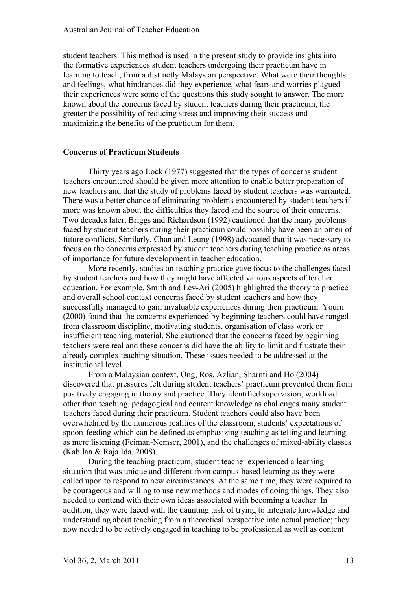student teachers. This method is used in the present study to provide insights into the formative experiences student teachers undergoing their practicum have in learning to teach, from a distinctly Malaysian perspective. What were their thoughts and feelings, what hindrances did they experience, what fears and worries plagued their experiences were some of the questions this study sought to answer. The more known about the concerns faced by student teachers during their practicum, the greater the possibility of reducing stress and improving their success and maximizing the benefits of the practicum for them.

#### **Concerns of Practicum Students**

Thirty years ago Lock (1977) suggested that the types of concerns student teachers encountered should be given more attention to enable better preparation of new teachers and that the study of problems faced by student teachers was warranted. There was a better chance of eliminating problems encountered by student teachers if more was known about the difficulties they faced and the source of their concerns. Two decades later, Briggs and Richardson (1992) cautioned that the many problems faced by student teachers during their practicum could possibly have been an omen of future conflicts. Similarly, Chan and Leung (1998) advocated that it was necessary to focus on the concerns expressed by student teachers during teaching practice as areas of importance for future development in teacher education.

More recently, studies on teaching practice gave focus to the challenges faced by student teachers and how they might have affected various aspects of teacher education. For example, Smith and Lev-Ari (2005) highlighted the theory to practice and overall school context concerns faced by student teachers and how they successfully managed to gain invaluable experiences during their practicum. Yourn (2000) found that the concerns experienced by beginning teachers could have ranged from classroom discipline, motivating students, organisation of class work or insufficient teaching material. She cautioned that the concerns faced by beginning teachers were real and these concerns did have the ability to limit and frustrate their already complex teaching situation. These issues needed to be addressed at the institutional level.

From a Malaysian context, Ong, Ros, Azlian, Sharnti and Ho (2004) discovered that pressures felt during student teachers' practicum prevented them from positively engaging in theory and practice. They identified supervision, workload other than teaching, pedagogical and content knowledge as challenges many student teachers faced during their practicum. Student teachers could also have been overwhelmed by the numerous realities of the classroom, students' expectations of spoon-feeding which can be defined as emphasizing teaching as telling and learning as mere listening (Feiman-Nemser, 2001), and the challenges of mixed-ability classes (Kabilan & Raja Ida, 2008).

During the teaching practicum, student teacher experienced a learning situation that was unique and different from campus-based learning as they were called upon to respond to new circumstances. At the same time, they were required to be courageous and willing to use new methods and modes of doing things. They also needed to contend with their own ideas associated with becoming a teacher. In addition, they were faced with the daunting task of trying to integrate knowledge and understanding about teaching from a theoretical perspective into actual practice; they now needed to be actively engaged in teaching to be professional as well as content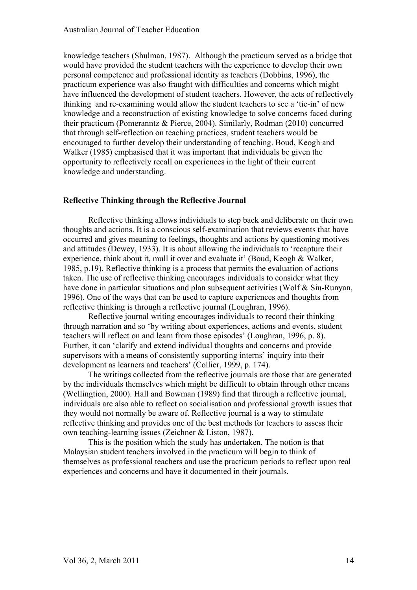knowledge teachers (Shulman, 1987). Although the practicum served as a bridge that would have provided the student teachers with the experience to develop their own personal competence and professional identity as teachers (Dobbins, 1996), the practicum experience was also fraught with difficulties and concerns which might have influenced the development of student teachers. However, the acts of reflectively thinking and re-examining would allow the student teachers to see a 'tie-in' of new knowledge and a reconstruction of existing knowledge to solve concerns faced during their practicum (Pomeranntz & Pierce, 2004). Similarly, Rodman (2010) concurred that through self-reflection on teaching practices, student teachers would be encouraged to further develop their understanding of teaching. Boud, Keogh and Walker (1985) emphasised that it was important that individuals be given the opportunity to reflectively recall on experiences in the light of their current knowledge and understanding.

#### **Reflective Thinking through the Reflective Journal**

Reflective thinking allows individuals to step back and deliberate on their own thoughts and actions. It is a conscious self-examination that reviews events that have occurred and gives meaning to feelings, thoughts and actions by questioning motives and attitudes (Dewey, 1933). It is about allowing the individuals to 'recapture their experience, think about it, mull it over and evaluate it' (Boud, Keogh & Walker, 1985, p.19). Reflective thinking is a process that permits the evaluation of actions taken. The use of reflective thinking encourages individuals to consider what they have done in particular situations and plan subsequent activities (Wolf & Siu-Runyan, 1996). One of the ways that can be used to capture experiences and thoughts from reflective thinking is through a reflective journal (Loughran, 1996).

Reflective journal writing encourages individuals to record their thinking through narration and so 'by writing about experiences, actions and events, student teachers will reflect on and learn from those episodes' (Loughran, 1996, p. 8). Further, it can 'clarify and extend individual thoughts and concerns and provide supervisors with a means of consistently supporting interns' inquiry into their development as learners and teachers' (Collier, 1999, p. 174).

The writings collected from the reflective journals are those that are generated by the individuals themselves which might be difficult to obtain through other means (Wellingtion, 2000). Hall and Bowman (1989) find that through a reflective journal, individuals are also able to reflect on socialisation and professional growth issues that they would not normally be aware of. Reflective journal is a way to stimulate reflective thinking and provides one of the best methods for teachers to assess their own teaching-learning issues (Zeichner & Liston, 1987).

This is the position which the study has undertaken. The notion is that Malaysian student teachers involved in the practicum will begin to think of themselves as professional teachers and use the practicum periods to reflect upon real experiences and concerns and have it documented in their journals.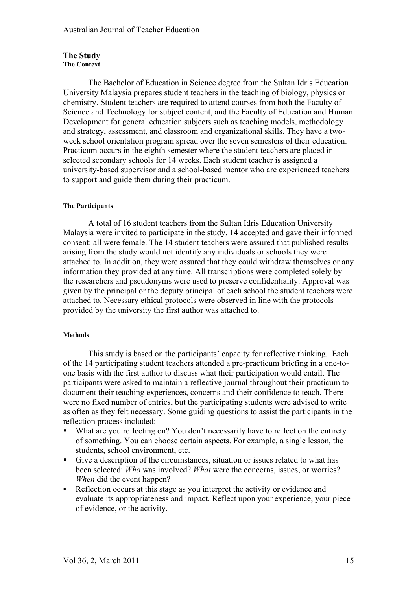#### **The Study The Context**

The Bachelor of Education in Science degree from the Sultan Idris Education University Malaysia prepares student teachers in the teaching of biology, physics or chemistry. Student teachers are required to attend courses from both the Faculty of Science and Technology for subject content, and the Faculty of Education and Human Development for general education subjects such as teaching models, methodology and strategy, assessment, and classroom and organizational skills. They have a twoweek school orientation program spread over the seven semesters of their education. Practicum occurs in the eighth semester where the student teachers are placed in selected secondary schools for 14 weeks. Each student teacher is assigned a university-based supervisor and a school-based mentor who are experienced teachers to support and guide them during their practicum.

#### **The Participants**

A total of 16 student teachers from the Sultan Idris Education University Malaysia were invited to participate in the study, 14 accepted and gave their informed consent: all were female. The 14 student teachers were assured that published results arising from the study would not identify any individuals or schools they were attached to. In addition, they were assured that they could withdraw themselves or any information they provided at any time. All transcriptions were completed solely by the researchers and pseudonyms were used to preserve confidentiality. Approval was given by the principal or the deputy principal of each school the student teachers were attached to. Necessary ethical protocols were observed in line with the protocols provided by the university the first author was attached to.

#### **Methods**

This study is based on the participants' capacity for reflective thinking. Each of the 14 participating student teachers attended a pre-practicum briefing in a one-toone basis with the first author to discuss what their participation would entail. The participants were asked to maintain a reflective journal throughout their practicum to document their teaching experiences, concerns and their confidence to teach. There were no fixed number of entries, but the participating students were advised to write as often as they felt necessary. Some guiding questions to assist the participants in the reflection process included:

- What are you reflecting on? You don't necessarily have to reflect on the entirety of something. You can choose certain aspects. For example, a single lesson, the students, school environment, etc.
- Give a description of the circumstances, situation or issues related to what has been selected: *Who* was involved? *What* were the concerns, issues, or worries? *When* did the event happen?
- Reflection occurs at this stage as you interpret the activity or evidence and evaluate its appropriateness and impact. Reflect upon your experience, your piece of evidence, or the activity.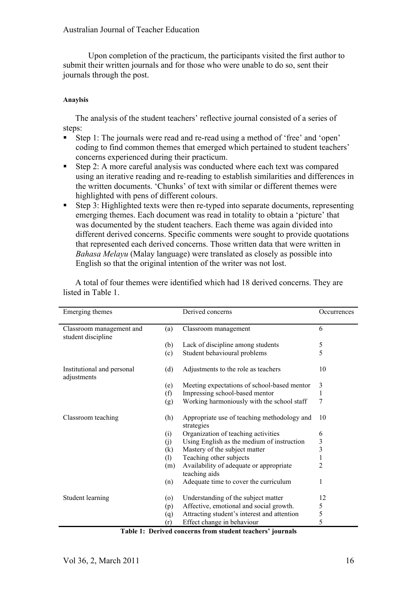#### Australian Journal of Teacher Education

Upon completion of the practicum, the participants visited the first author to submit their written journals and for those who were unable to do so, sent their journals through the post.

#### **Anaylsis**

The analysis of the student teachers' reflective journal consisted of a series of steps:

- Step 1: The journals were read and re-read using a method of 'free' and 'open' coding to find common themes that emerged which pertained to student teachers' concerns experienced during their practicum.
- Step 2: A more careful analysis was conducted where each text was compared using an iterative reading and re-reading to establish similarities and differences in the written documents. 'Chunks' of text with similar or different themes were highlighted with pens of different colours.
- Step 3: Highlighted texts were then re-typed into separate documents, representing emerging themes. Each document was read in totality to obtain a 'picture' that was documented by the student teachers. Each theme was again divided into different derived concerns. Specific comments were sought to provide quotations that represented each derived concerns. Those written data that were written in *Bahasa Melayu* (Malay language) were translated as closely as possible into English so that the original intention of the writer was not lost.

| Emerging themes                                |     | Derived concerns                                          | Occurrences    |
|------------------------------------------------|-----|-----------------------------------------------------------|----------------|
| Classroom management and<br>student discipline | (a) | Classroom management                                      | 6              |
|                                                | (b) | Lack of discipline among students                         | 5              |
|                                                | (c) | Student behavioural problems                              | 5              |
| Institutional and personal<br>adjustments      | (d) | Adjustments to the role as teachers                       | 10             |
|                                                | (e) | Meeting expectations of school-based mentor               | 3              |
|                                                | (f) | Impressing school-based mentor                            | 1              |
|                                                | (g) | Working harmoniously with the school staff                | 7              |
| Classroom teaching                             | (h) | Appropriate use of teaching methodology and<br>strategies | 10             |
|                                                | (i) | Organization of teaching activities                       | 6              |
|                                                | (j) | Using English as the medium of instruction                | $\mathfrak{Z}$ |
|                                                | (k) | Mastery of the subject matter                             | 3              |
|                                                | (1) | Teaching other subjects                                   |                |
|                                                | (m) | Availability of adequate or appropriate<br>teaching aids  | 2              |
|                                                | (n) | Adequate time to cover the curriculum                     | 1              |
| Student learning                               | (0) | Understanding of the subject matter                       | 12             |
|                                                | (p) | Affective, emotional and social growth.                   | 5              |
|                                                | (q) | Attracting student's interest and attention               | 5              |
|                                                | (r) | Effect change in behaviour                                | 5              |

A total of four themes were identified which had 18 derived concerns. They are listed in Table 1.

**Table 1: Derived concerns from student teachers' journals**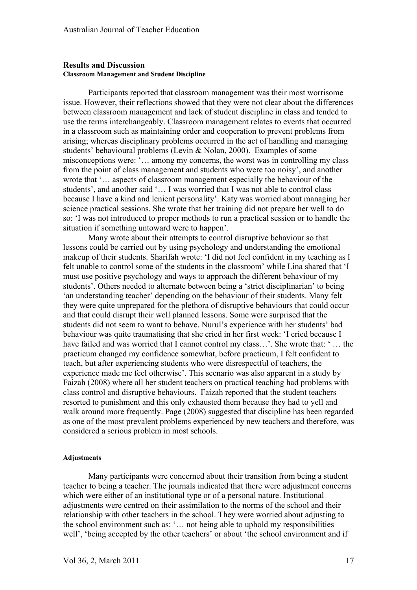#### **Results and Discussion Classroom Management and Student Discipline**

Participants reported that classroom management was their most worrisome issue. However, their reflections showed that they were not clear about the differences between classroom management and lack of student discipline in class and tended to use the terms interchangeably. Classroom management relates to events that occurred in a classroom such as maintaining order and cooperation to prevent problems from arising; whereas disciplinary problems occurred in the act of handling and managing students' behavioural problems (Levin & Nolan, 2000). Examples of some misconceptions were: '… among my concerns, the worst was in controlling my class from the point of class management and students who were too noisy', and another wrote that '… aspects of classroom management especially the behaviour of the students', and another said '… I was worried that I was not able to control class because I have a kind and lenient personality'. Katy was worried about managing her science practical sessions. She wrote that her training did not prepare her well to do so: 'I was not introduced to proper methods to run a practical session or to handle the situation if something untoward were to happen'.

Many wrote about their attempts to control disruptive behaviour so that lessons could be carried out by using psychology and understanding the emotional makeup of their students. Sharifah wrote: 'I did not feel confident in my teaching as I felt unable to control some of the students in the classroom' while Lina shared that 'I must use positive psychology and ways to approach the different behaviour of my students'. Others needed to alternate between being a 'strict disciplinarian' to being 'an understanding teacher' depending on the behaviour of their students. Many felt they were quite unprepared for the plethora of disruptive behaviours that could occur and that could disrupt their well planned lessons. Some were surprised that the students did not seem to want to behave. Nurul's experience with her students' bad behaviour was quite traumatising that she cried in her first week: 'I cried because I have failed and was worried that I cannot control my class...'. She wrote that: '... the practicum changed my confidence somewhat, before practicum, I felt confident to teach, but after experiencing students who were disrespectful of teachers, the experience made me feel otherwise'. This scenario was also apparent in a study by Faizah (2008) where all her student teachers on practical teaching had problems with class control and disruptive behaviours. Faizah reported that the student teachers resorted to punishment and this only exhausted them because they had to yell and walk around more frequently. Page (2008) suggested that discipline has been regarded as one of the most prevalent problems experienced by new teachers and therefore, was considered a serious problem in most schools.

#### **Adjustments**

Many participants were concerned about their transition from being a student teacher to being a teacher. The journals indicated that there were adjustment concerns which were either of an institutional type or of a personal nature. Institutional adjustments were centred on their assimilation to the norms of the school and their relationship with other teachers in the school. They were worried about adjusting to the school environment such as: '… not being able to uphold my responsibilities well', 'being accepted by the other teachers' or about 'the school environment and if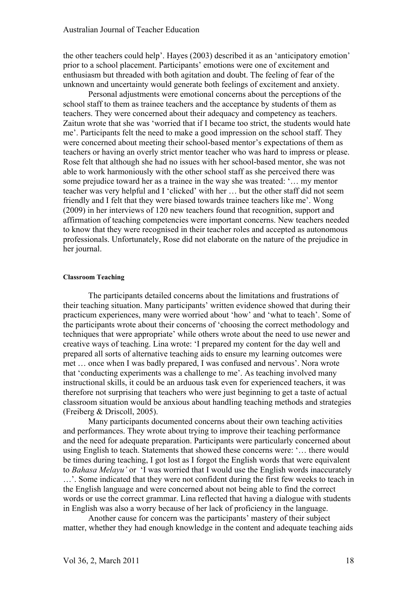the other teachers could help'. Hayes (2003) described it as an 'anticipatory emotion' prior to a school placement. Participants' emotions were one of excitement and enthusiasm but threaded with both agitation and doubt. The feeling of fear of the unknown and uncertainty would generate both feelings of excitement and anxiety.

Personal adjustments were emotional concerns about the perceptions of the school staff to them as trainee teachers and the acceptance by students of them as teachers. They were concerned about their adequacy and competency as teachers. Zaitun wrote that she was 'worried that if I became too strict, the students would hate me'. Participants felt the need to make a good impression on the school staff. They were concerned about meeting their school-based mentor's expectations of them as teachers or having an overly strict mentor teacher who was hard to impress or please. Rose felt that although she had no issues with her school-based mentor, she was not able to work harmoniously with the other school staff as she perceived there was some prejudice toward her as a trainee in the way she was treated: '… my mentor teacher was very helpful and I 'clicked' with her … but the other staff did not seem friendly and I felt that they were biased towards trainee teachers like me'. Wong (2009) in her interviews of 120 new teachers found that recognition, support and affirmation of teaching competencies were important concerns. New teachers needed to know that they were recognised in their teacher roles and accepted as autonomous professionals. Unfortunately, Rose did not elaborate on the nature of the prejudice in her journal.

#### **Classroom Teaching**

The participants detailed concerns about the limitations and frustrations of their teaching situation. Many participants' written evidence showed that during their practicum experiences, many were worried about 'how' and 'what to teach'. Some of the participants wrote about their concerns of 'choosing the correct methodology and techniques that were appropriate' while others wrote about the need to use newer and creative ways of teaching. Lina wrote: 'I prepared my content for the day well and prepared all sorts of alternative teaching aids to ensure my learning outcomes were met … once when I was badly prepared, I was confused and nervous'. Nora wrote that 'conducting experiments was a challenge to me'. As teaching involved many instructional skills, it could be an arduous task even for experienced teachers, it was therefore not surprising that teachers who were just beginning to get a taste of actual classroom situation would be anxious about handling teaching methods and strategies (Freiberg & Driscoll, 2005).

Many participants documented concerns about their own teaching activities and performances. They wrote about trying to improve their teaching performance and the need for adequate preparation. Participants were particularly concerned about using English to teach. Statements that showed these concerns were: '… there would be times during teaching, I got lost as I forgot the English words that were equivalent to *Bahasa Melayu'* or 'I was worried that I would use the English words inaccurately …'. Some indicated that they were not confident during the first few weeks to teach in the English language and were concerned about not being able to find the correct words or use the correct grammar. Lina reflected that having a dialogue with students in English was also a worry because of her lack of proficiency in the language.

Another cause for concern was the participants' mastery of their subject matter, whether they had enough knowledge in the content and adequate teaching aids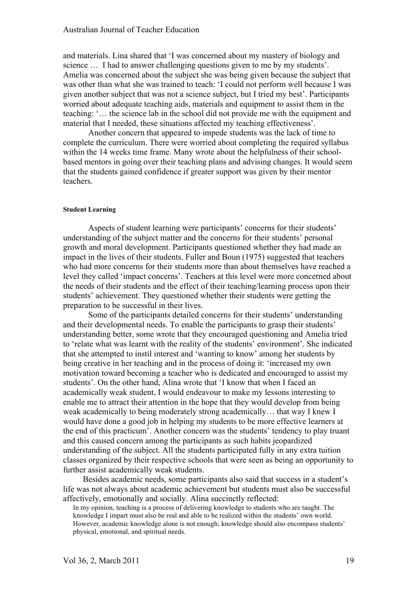#### Australian Journal of Teacher Education

and materials. Lina shared that 'I was concerned about my mastery of biology and science … I had to answer challenging questions given to me by my students'. Amelia was concerned about the subject she was being given because the subject that was other than what she was trained to teach: 'I could not perform well because I was given another subject that was not a science subject, but I tried my best'. Participants worried about adequate teaching aids, materials and equipment to assist them in the teaching: '… the science lab in the school did not provide me with the equipment and material that I needed, these situations affected my teaching effectiveness'.

Another concern that appeared to impede students was the lack of time to complete the curriculum. There were worried about completing the required syllabus within the 14 weeks time frame. Many wrote about the helpfulness of their schoolbased mentors in going over their teaching plans and advising changes. It would seem that the students gained confidence if greater support was given by their mentor teachers.

#### **Student Learning**

Aspects of student learning were participants' concerns for their students' understanding of the subject matter and the concerns for their students' personal growth and moral development. Participants questioned whether they had made an impact in the lives of their students. Fuller and Boun (1975) suggested that teachers who had more concerns for their students more than about themselves have reached a level they called 'impact concerns'. Teachers at this level were more concerned about the needs of their students and the effect of their teaching/learning process upon their students' achievement. They questioned whether their students were getting the preparation to be successful in their lives.

Some of the participants detailed concerns for their students' understanding and their developmental needs. To enable the participants to grasp their students' understanding better, some wrote that they encouraged questioning and Amelia tried to 'relate what was learnt with the reality of the students' environment'. She indicated that she attempted to instil interest and 'wanting to know' among her students by being creative in her teaching and in the process of doing it: 'increased my own motivation toward becoming a teacher who is dedicated and encouraged to assist my students'. On the other hand, Alina wrote that 'I know that when I faced an academically weak student, I would endeavour to make my lessons interesting to enable me to attract their attention in the hope that they would develop from being weak academically to being moderately strong academically… that way I knew I would have done a good job in helping my students to be more effective learners at the end of this practicum'. Another concern was the students' tendency to play truant and this caused concern among the participants as such habits jeopardized understanding of the subject. All the students participated fully in any extra tuition classes organized by their respective schools that were seen as being an opportunity to further assist academically weak students.

Besides academic needs, some participants also said that success in a student's life was not always about academic achievement but students must also be successful affectively, emotionally and socially. Alina succinctly reflected:

In my opinion, teaching is a process of delivering knowledge to students who are taught. The knowledge I impart must also be real and able to be realized within the students' own world. However, academic knowledge alone is not enough; knowledge should also encompass students' physical, emotional, and spiritual needs.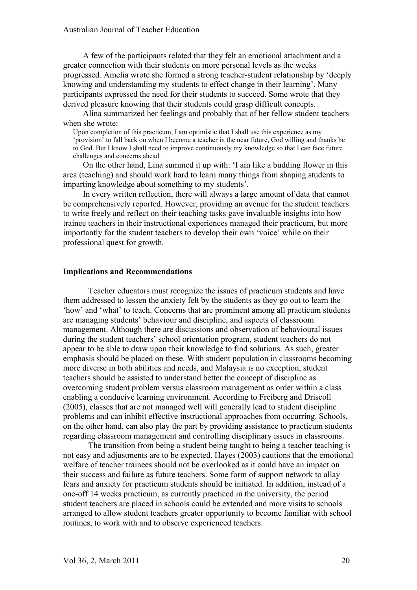A few of the participants related that they felt an emotional attachment and a greater connection with their students on more personal levels as the weeks progressed. Amelia wrote she formed a strong teacher-student relationship by 'deeply knowing and understanding my students to effect change in their learning'. Many participants expressed the need for their students to succeed. Some wrote that they derived pleasure knowing that their students could grasp difficult concepts.

Alina summarized her feelings and probably that of her fellow student teachers when she wrote:

Upon completion of this practicum, I am optimistic that I shall use this experience as my 'provision' to fall back on when I become a teacher in the near future, God willing and thanks be to God. But I know I shall need to improve continuously my knowledge so that I can face future challenges and concerns ahead.

On the other hand, Lina summed it up with: 'I am like a budding flower in this area (teaching) and should work hard to learn many things from shaping students to imparting knowledge about something to my students'.

In every written reflection, there will always a large amount of data that cannot be comprehensively reported. However, providing an avenue for the student teachers to write freely and reflect on their teaching tasks gave invaluable insights into how trainee teachers in their instructional experiences managed their practicum, but more importantly for the student teachers to develop their own 'voice' while on their professional quest for growth.

#### **Implications and Recommendations**

Teacher educators must recognize the issues of practicum students and have them addressed to lessen the anxiety felt by the students as they go out to learn the 'how' and 'what' to teach. Concerns that are prominent among all practicum students are managing students' behaviour and discipline, and aspects of classroom management. Although there are discussions and observation of behavioural issues during the student teachers' school orientation program, student teachers do not appear to be able to draw upon their knowledge to find solutions. As such, greater emphasis should be placed on these. With student population in classrooms becoming more diverse in both abilities and needs, and Malaysia is no exception, student teachers should be assisted to understand better the concept of discipline as overcoming student problem versus classroom management as order within a class enabling a conducive learning environment. According to Freiberg and Driscoll (2005), classes that are not managed well will generally lead to student discipline problems and can inhibit effective instructional approaches from occurring. Schools, on the other hand, can also play the part by providing assistance to practicum students regarding classroom management and controlling disciplinary issues in classrooms.

The transition from being a student being taught to being a teacher teaching is not easy and adjustments are to be expected. Hayes (2003) cautions that the emotional welfare of teacher trainees should not be overlooked as it could have an impact on their success and failure as future teachers. Some form of support network to allay fears and anxiety for practicum students should be initiated. In addition, instead of a one-off 14 weeks practicum, as currently practiced in the university, the period student teachers are placed in schools could be extended and more visits to schools arranged to allow student teachers greater opportunity to become familiar with school routines, to work with and to observe experienced teachers.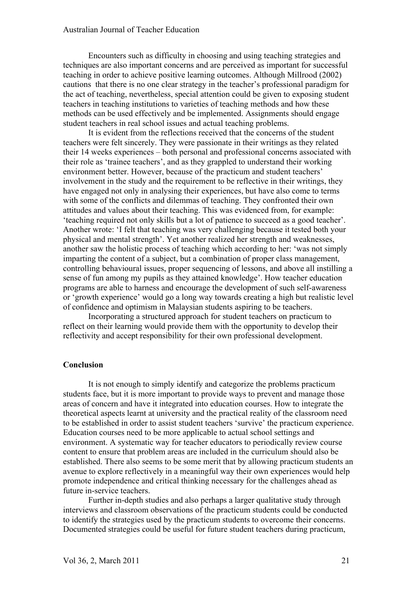Encounters such as difficulty in choosing and using teaching strategies and techniques are also important concerns and are perceived as important for successful teaching in order to achieve positive learning outcomes. Although Millrood (2002) cautions that there is no one clear strategy in the teacher's professional paradigm for the act of teaching, nevertheless, special attention could be given to exposing student teachers in teaching institutions to varieties of teaching methods and how these methods can be used effectively and be implemented. Assignments should engage student teachers in real school issues and actual teaching problems.

It is evident from the reflections received that the concerns of the student teachers were felt sincerely. They were passionate in their writings as they related their 14 weeks experiences – both personal and professional concerns associated with their role as 'trainee teachers', and as they grappled to understand their working environment better. However, because of the practicum and student teachers' involvement in the study and the requirement to be reflective in their writings, they have engaged not only in analysing their experiences, but have also come to terms with some of the conflicts and dilemmas of teaching. They confronted their own attitudes and values about their teaching. This was evidenced from, for example: 'teaching required not only skills but a lot of patience to succeed as a good teacher'. Another wrote: 'I felt that teaching was very challenging because it tested both your physical and mental strength'. Yet another realized her strength and weaknesses, another saw the holistic process of teaching which according to her: 'was not simply imparting the content of a subject, but a combination of proper class management, controlling behavioural issues, proper sequencing of lessons, and above all instilling a sense of fun among my pupils as they attained knowledge'. How teacher education programs are able to harness and encourage the development of such self-awareness or 'growth experience' would go a long way towards creating a high but realistic level of confidence and optimism in Malaysian students aspiring to be teachers.

Incorporating a structured approach for student teachers on practicum to reflect on their learning would provide them with the opportunity to develop their reflectivity and accept responsibility for their own professional development.

#### **Conclusion**

It is not enough to simply identify and categorize the problems practicum students face, but it is more important to provide ways to prevent and manage those areas of concern and have it integrated into education courses. How to integrate the theoretical aspects learnt at university and the practical reality of the classroom need to be established in order to assist student teachers 'survive' the practicum experience. Education courses need to be more applicable to actual school settings and environment. A systematic way for teacher educators to periodically review course content to ensure that problem areas are included in the curriculum should also be established. There also seems to be some merit that by allowing practicum students an avenue to explore reflectively in a meaningful way their own experiences would help promote independence and critical thinking necessary for the challenges ahead as future in-service teachers.

Further in-depth studies and also perhaps a larger qualitative study through interviews and classroom observations of the practicum students could be conducted to identify the strategies used by the practicum students to overcome their concerns. Documented strategies could be useful for future student teachers during practicum,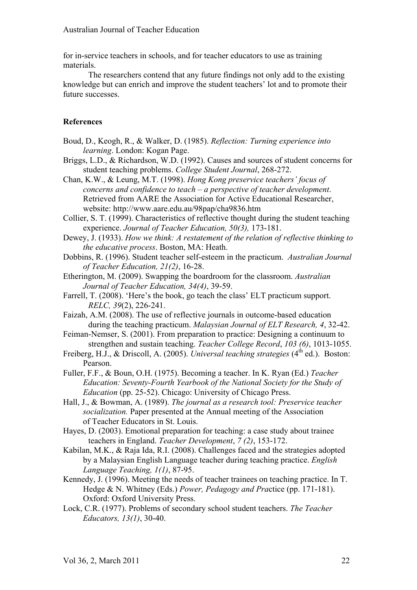for in-service teachers in schools, and for teacher educators to use as training materials.

The researchers contend that any future findings not only add to the existing knowledge but can enrich and improve the student teachers' lot and to promote their future successes.

#### **References**

- Boud, D., Keogh, R., & Walker, D. (1985). *Reflection: Turning experience into learning*. London: Kogan Page.
- Briggs, L.D., & Richardson, W.D. (1992). Causes and sources of student concerns for student teaching problems. *College Student Journal*, 268-272.
- Chan, K.W., & Leung, M.T. (1998). *Hong Kong preservice teachers' focus of concerns and confidence to teach – a perspective of teacher development*. Retrieved from AARE the Association for Active Educational Researcher, website: http://www.aare.edu.au/98pap/cha9836.htm
- Collier, S. T. (1999). Characteristics of reflective thought during the student teaching experience. *Journal of Teacher Education, 50(3),* 173-181.
- Dewey, J. (1933). *How we think: A restatement of the relation of reflective thinking to the educative process*. Boston, MA: Heath.
- Dobbins, R. (1996). Student teacher self-esteem in the practicum. *Australian Journal of Teacher Education, 21(2)*, 16-28.
- Etherington, M. (2009). Swapping the boardroom for the classroom. *Australian Journal of Teacher Education, 34(4)*, 39-59.
- Farrell, T. (2008). 'Here's the book, go teach the class' ELT practicum support. *RELC, 39*(2), 226-241.
- Faizah, A.M. (2008). The use of reflective journals in outcome-based education during the teaching practicum. *Malaysian Journal of ELT Research, 4*, 32-42.
- Feiman-Nemser, S. (2001). From preparation to practice: Designing a continuum to strengthen and sustain teaching. *Teacher College Record*, *103 (6)*, 1013-1055.
- Freiberg, H.J., & Driscoll, A. (2005). *Universal teaching strategies* (4<sup>th</sup> ed.). Boston: Pearson.
- Fuller, F.F., & Boun, O.H. (1975). Becoming a teacher. In K. Ryan (Ed.) *Teacher Education: Seventy-Fourth Yearbook of the National Society for the Study of Education* (pp. 25-52). Chicago: University of Chicago Press.
- Hall, J., & Bowman, A. (1989). *The journal as a research tool: Preservice teacher socialization.* Paper presented at the Annual meeting of the Association of Teacher Educators in St. Louis.
- Hayes, D. (2003). Emotional preparation for teaching: a case study about trainee teachers in England. *Teacher Development*, *7 (2)*, 153-172.
- Kabilan, M.K., & Raja Ida, R.I. (2008). Challenges faced and the strategies adopted by a Malaysian English Language teacher during teaching practice. *English Language Teaching, 1(1)*, 87-95.
- Kennedy, J. (1996). Meeting the needs of teacher trainees on teaching practice. In T. Hedge & N. Whitney (Eds.) *Power, Pedagogy and Pra*ctice (pp. 171-181). Oxford: Oxford University Press.
- Lock, C.R. (1977). Problems of secondary school student teachers. *The Teacher Educators, 13(1)*, 30-40.